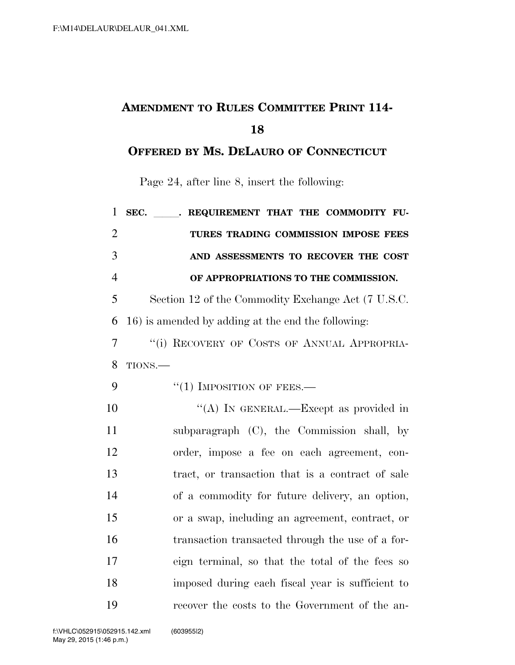## **AMENDMENT TO RULES COMMITTEE PRINT 114-**

## **OFFERED BY MS. DELAURO OF CONNECTICUT**

Page 24, after line 8, insert the following:

| $\mathbf{1}$   | SEC. REQUIREMENT THAT THE COMMODITY FU-            |
|----------------|----------------------------------------------------|
| $\overline{2}$ | TURES TRADING COMMISSION IMPOSE FEES               |
| 3              | AND ASSESSMENTS TO RECOVER THE COST                |
| $\overline{4}$ | OF APPROPRIATIONS TO THE COMMISSION.               |
| 5              | Section 12 of the Commodity Exchange Act (7 U.S.C. |
| 6              | 16) is amended by adding at the end the following: |
| $\overline{7}$ | "(i) RECOVERY OF COSTS OF ANNUAL APPROPRIA-        |
| 8              | TIONS.                                             |
| 9              | $``(1)$ IMPOSITION OF FEES.—                       |
| 10             | "(A) IN GENERAL.—Except as provided in             |
| 11             | subparagraph (C), the Commission shall, by         |
| 12             | order, impose a fee on each agreement, con-        |
| 13             | tract, or transaction that is a contract of sale   |
| 14             | of a commodity for future delivery, an option,     |
| 15             | or a swap, including an agreement, contract, or    |
| 16             | transaction transacted through the use of a for-   |
| 17             | eign terminal, so that the total of the fees so    |
| 18             | imposed during each fiscal year is sufficient to   |
| 19             | recover the costs to the Government of the an-     |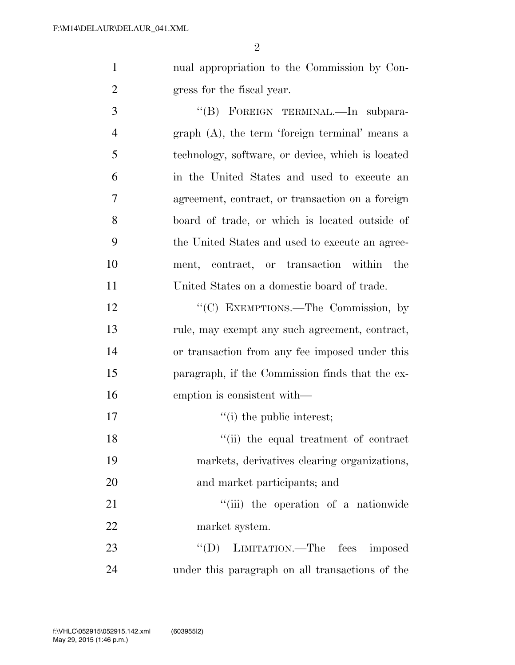| nual appropriation to the Commission by Con- |
|----------------------------------------------|
| gress for the fiscal year.                   |

3 "(B) FOREIGN TERMINAL.—In subpara- graph (A), the term 'foreign terminal' means a technology, software, or device, which is located in the United States and used to execute an agreement, contract, or transaction on a foreign board of trade, or which is located outside of the United States and used to execute an agree- ment, contract, or transaction within the United States on a domestic board of trade.

12 "'(C) EXEMPTIONS.—The Commission, by rule, may exempt any such agreement, contract, or transaction from any fee imposed under this paragraph, if the Commission finds that the ex-emption is consistent with—

 $''(i)$  the public interest; 18 ''(ii) the equal treatment of contract markets, derivatives clearing organizations, and market participants; and

21 ''(iii) the operation of a nationwide market system.

23 "(D) LIMITATION.—The fees imposed under this paragraph on all transactions of the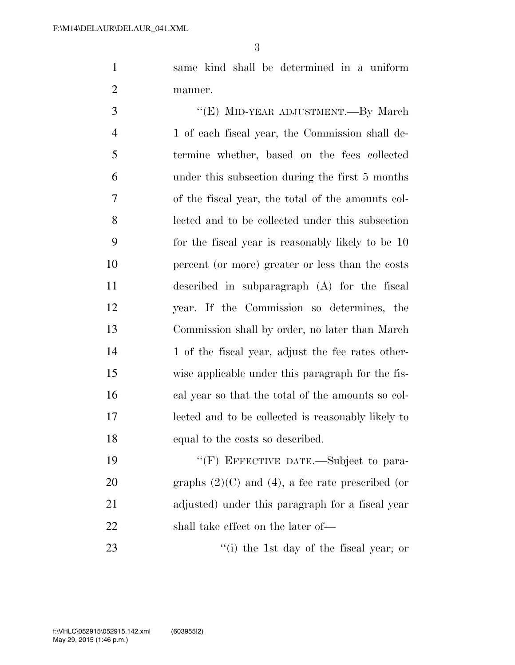same kind shall be determined in a uniform manner.

3 "(E) MID-YEAR ADJUSTMENT.—By March 1 of each fiscal year, the Commission shall de- termine whether, based on the fees collected under this subsection during the first 5 months of the fiscal year, the total of the amounts col- lected and to be collected under this subsection for the fiscal year is reasonably likely to be 10 percent (or more) greater or less than the costs described in subparagraph (A) for the fiscal year. If the Commission so determines, the Commission shall by order, no later than March 14 1 of the fiscal year, adjust the fee rates other- wise applicable under this paragraph for the fis- cal year so that the total of the amounts so col- lected and to be collected is reasonably likely to equal to the costs so described.

19 "'(F) EFFECTIVE DATE.—Subject to para-20 graphs  $(2)(C)$  and  $(4)$ , a fee rate prescribed (or adjusted) under this paragraph for a fiscal year shall take effect on the later of—

23 ''(i) the 1st day of the fiscal year; or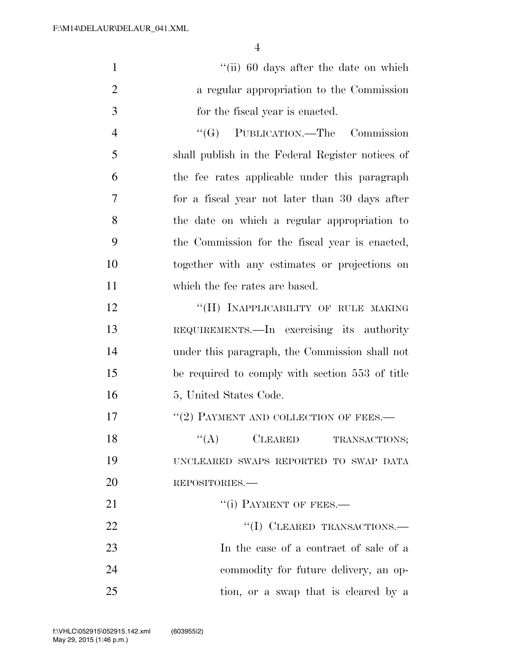| $\mathbf{1}$   | "(ii) 60 days after the date on which            |
|----------------|--------------------------------------------------|
| $\overline{2}$ | a regular appropriation to the Commission        |
| 3              | for the fiscal year is enacted.                  |
| $\overline{4}$ | "(G) PUBLICATION.—The Commission                 |
| 5              | shall publish in the Federal Register notices of |
| 6              | the fee rates applicable under this paragraph    |
| $\overline{7}$ | for a fiscal year not later than 30 days after   |
| 8              | the date on which a regular appropriation to     |
| 9              | the Commission for the fiscal year is enacted,   |
| 10             | together with any estimates or projections on    |
| 11             | which the fee rates are based.                   |
| 12             | "(H) INAPPLICABILITY OF RULE MAKING              |
| 13             | REQUIREMENTS.—In exercising its authority        |
| 14             | under this paragraph, the Commission shall not   |
| 15             | be required to comply with section 553 of title  |
| 16             | 5, United States Code.                           |
| 17             | "(2) PAYMENT AND COLLECTION OF FEES.-            |
| 18             | $\lq\lq (A)$ CLEARED TRANSACTIONS;               |
| 19             | UNCLEARED SWAPS REPORTED TO SWAP DATA            |
| 20             | REPOSITORIES.                                    |
| 21             | "(i) PAYMENT OF FEES.—                           |
| 22             | "(I) CLEARED TRANSACTIONS.-                      |
| 23             | In the case of a contract of sale of a           |
| 24             | commodity for future delivery, an op-            |
| 25             | tion, or a swap that is cleared by a             |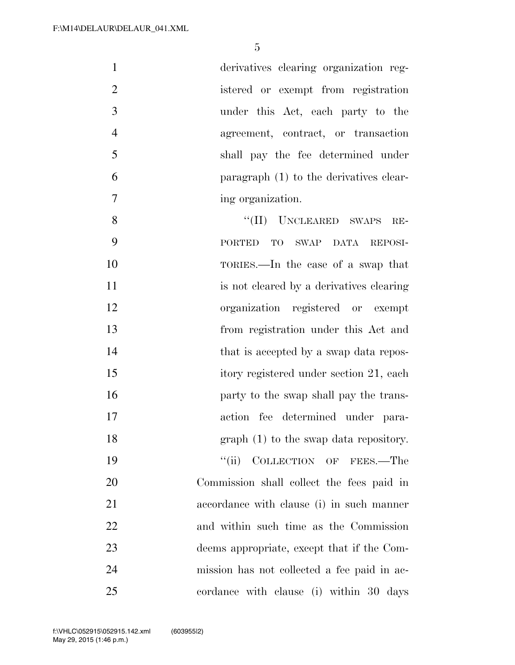| $\mathbf{1}$   | derivatives clearing organization reg-                |
|----------------|-------------------------------------------------------|
| $\overline{2}$ | istered or exempt from registration                   |
| 3              | under this Act, each party to the                     |
| $\overline{4}$ | agreement, contract, or transaction                   |
| 5              | shall pay the fee determined under                    |
| 6              | paragraph (1) to the derivatives clear-               |
| $\overline{7}$ | ing organization.                                     |
| 8              | "(II) UNCLEARED SWAPS<br>RE-                          |
| 9              | PORTED<br><b>TO</b><br>SWAP<br><b>DATA</b><br>REPOSI- |
| 10             | TORIES.—In the case of a swap that                    |
| 11             | is not cleared by a derivatives clearing              |
| 12             | organization registered or exempt                     |
| 13             | from registration under this Act and                  |
| 14             | that is accepted by a swap data repos-                |
| 15             | itory registered under section 21, each               |
| 16             | party to the swap shall pay the trans-                |
| 17             | action fee determined under para-                     |
| 18             | $graph(1)$ to the swap data repository.               |
| 19             | COLLECTION OF FEES.-The<br>``(ii)                     |
| 20             | Commission shall collect the fees paid in             |

 Commission shall collect the fees paid in accordance with clause (i) in such manner and within such time as the Commission deems appropriate, except that if the Com- mission has not collected a fee paid in ac-cordance with clause (i) within 30 days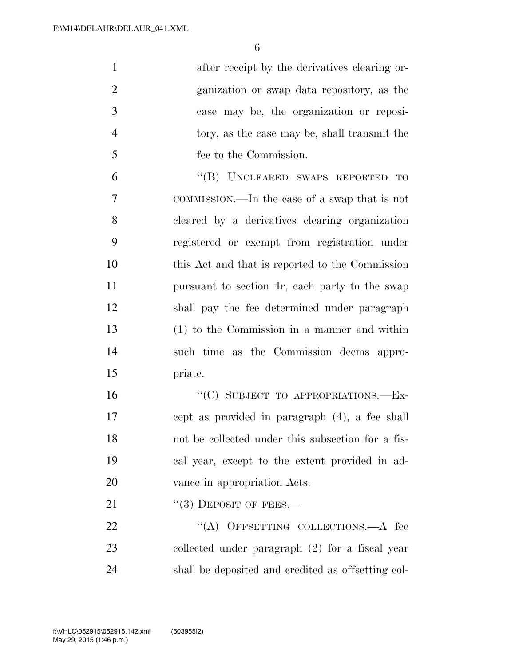after receipt by the derivatives clearing or- ganization or swap data repository, as the case may be, the organization or reposi- tory, as the case may be, shall transmit the fee to the Commission.

 ''(B) UNCLEARED SWAPS REPORTED TO COMMISSION.—In the case of a swap that is not cleared by a derivatives clearing organization registered or exempt from registration under this Act and that is reported to the Commission pursuant to section 4r, each party to the swap shall pay the fee determined under paragraph (1) to the Commission in a manner and within such time as the Commission deems appro-priate.

16 "(C) SUBJECT TO APPROPRIATIONS.—Ex- cept as provided in paragraph (4), a fee shall not be collected under this subsection for a fis- cal year, except to the extent provided in ad-vance in appropriation Acts.

21  $((3)$  DEPOSIT OF FEES.—

22 "(A) OFFSETTING COLLECTIONS.—A fee collected under paragraph (2) for a fiscal year shall be deposited and credited as offsetting col-